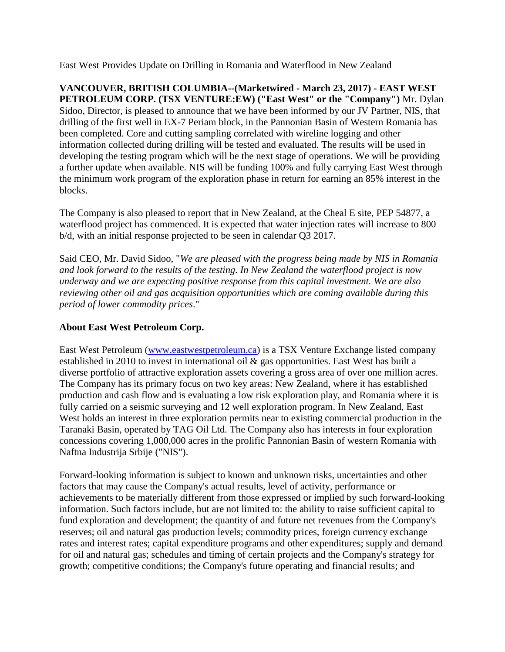East West Provides Update on Drilling in Romania and Waterflood in New Zealand

**VANCOUVER, BRITISH COLUMBIA--(Marketwired - March 23, 2017) - EAST WEST PETROLEUM CORP. (TSX VENTURE:EW) ("East West" or the "Company")** Mr. Dylan Sidoo, Director, is pleased to announce that we have been informed by our JV Partner, NIS, that drilling of the first well in EX-7 Periam block, in the Pannonian Basin of Western Romania has been completed. Core and cutting sampling correlated with wireline logging and other information collected during drilling will be tested and evaluated. The results will be used in developing the testing program which will be the next stage of operations. We will be providing a further update when available. NIS will be funding 100% and fully carrying East West through the minimum work program of the exploration phase in return for earning an 85% interest in the blocks.

The Company is also pleased to report that in New Zealand, at the Cheal E site, PEP 54877, a waterflood project has commenced. It is expected that water injection rates will increase to 800 b/d, with an initial response projected to be seen in calendar Q3 2017.

Said CEO, Mr. David Sidoo, "*We are pleased with the progress being made by NIS in Romania and look forward to the results of the testing. In New Zealand the waterflood project is now underway and we are expecting positive response from this capital investment. We are also reviewing other oil and gas acquisition opportunities which are coming available during this period of lower commodity prices*."

## **About East West Petroleum Corp.**

East West Petroleum [\(www.eastwestpetroleum.ca\)](http://www.eastwestpetroleum.ca/) is a TSX Venture Exchange listed company established in 2010 to invest in international oil & gas opportunities. East West has built a diverse portfolio of attractive exploration assets covering a gross area of over one million acres. The Company has its primary focus on two key areas: New Zealand, where it has established production and cash flow and is evaluating a low risk exploration play, and Romania where it is fully carried on a seismic surveying and 12 well exploration program. In New Zealand, East West holds an interest in three exploration permits near to existing commercial production in the Taranaki Basin, operated by TAG Oil Ltd. The Company also has interests in four exploration concessions covering 1,000,000 acres in the prolific Pannonian Basin of western Romania with Naftna Industrija Srbije ("NIS").

Forward-looking information is subject to known and unknown risks, uncertainties and other factors that may cause the Company's actual results, level of activity, performance or achievements to be materially different from those expressed or implied by such forward-looking information. Such factors include, but are not limited to: the ability to raise sufficient capital to fund exploration and development; the quantity of and future net revenues from the Company's reserves; oil and natural gas production levels; commodity prices, foreign currency exchange rates and interest rates; capital expenditure programs and other expenditures; supply and demand for oil and natural gas; schedules and timing of certain projects and the Company's strategy for growth; competitive conditions; the Company's future operating and financial results; and